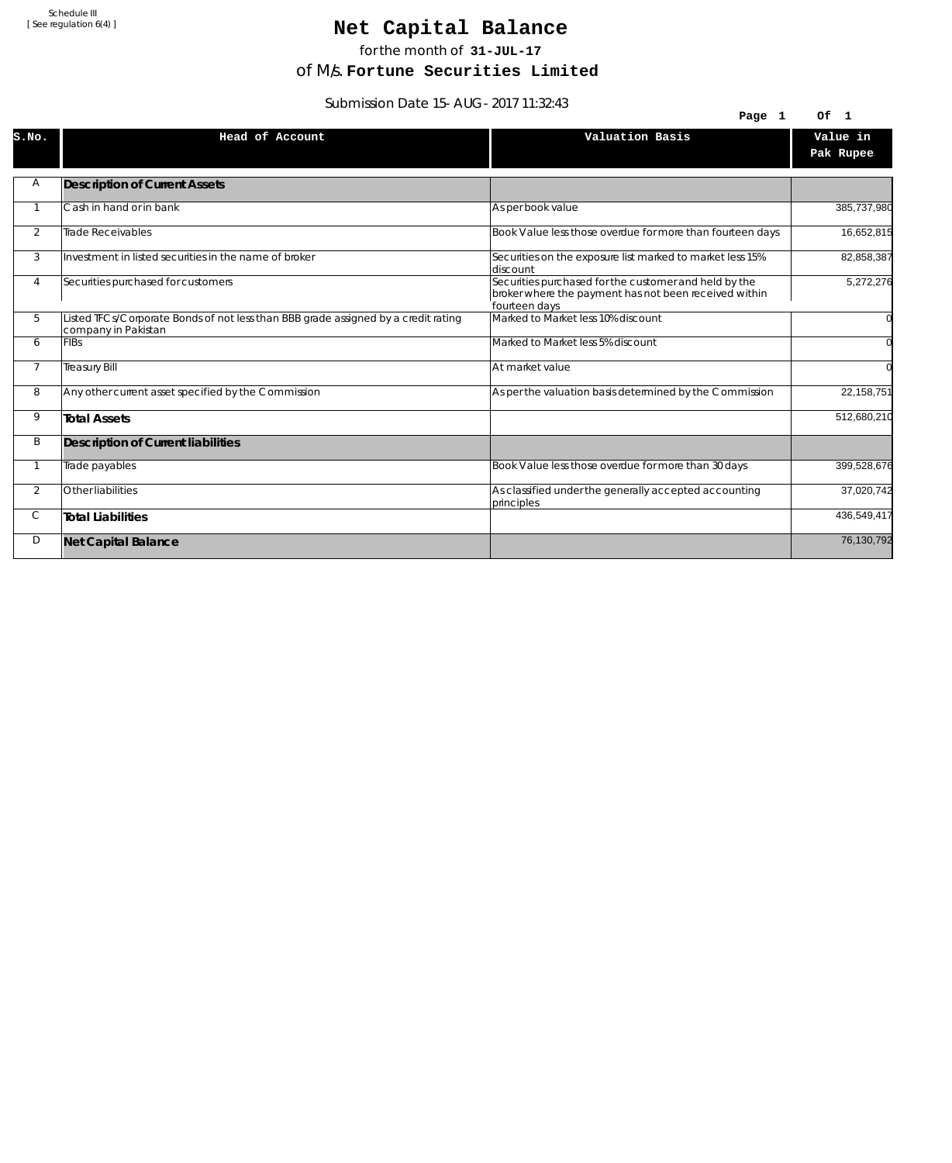# Net Capital Balance

for the month of **31-JUL-17**

of M/s. **Fortune Securities Limited**

Submission Date 15-AUG-2017 11:32:43

|                | <u>JUDITIISJULI DULV TJEAUU TII.JZ.HJ</u>                                                                 | Page 1                                                                                                                          | Of 1                  |
|----------------|-----------------------------------------------------------------------------------------------------------|---------------------------------------------------------------------------------------------------------------------------------|-----------------------|
| S.NO.          | Head of Account                                                                                           | Valuation Basis                                                                                                                 | Value in<br>Pak Rupee |
| Α              | <b>Description of Current Assets</b>                                                                      |                                                                                                                                 |                       |
|                | Cash in hand or in bank                                                                                   | As per book value                                                                                                               | 385,737,980           |
| $\overline{2}$ | <b>Trade Receivables</b>                                                                                  | Book Value less those overdue for more than fourteen days                                                                       | 16,652,815            |
| 3              | Investment in listed securities in the name of broker                                                     | Securities on the exposure list marked to market less 15%<br>discount                                                           | 82,858,387            |
| 4              | Securities purchased for customers                                                                        | Securities purchased for the customer and held by the<br>broker where the payment has not been received within<br>fourteen days | 5,272,276             |
| 5              | Listed TFCs/Corporate Bonds of not less than BBB grade assigned by a credit rating<br>company in Pakistan | Marked to Market less 10% discount                                                                                              |                       |
| 6              | <b>FIBs</b>                                                                                               | Marked to Market less 5% discount                                                                                               |                       |
| $\overline{7}$ | <b>Treasury Bill</b>                                                                                      | At market value                                                                                                                 |                       |
| 8              | Any other current asset specified by the Commission                                                       | As per the valuation basis determined by the Commission                                                                         | 22, 158, 751          |
| 9              | <b>Total Assets</b>                                                                                       |                                                                                                                                 | 512,680,210           |
| B              | Description of Current liabilities                                                                        |                                                                                                                                 |                       |
|                | Trade payables                                                                                            | Book Value less those overdue for more than 30 days                                                                             | 399,528,676           |
| $\overline{2}$ | Other liabilities                                                                                         | As classified under the generally accepted accounting<br>principles                                                             | 37,020,742            |
| С              | <b>Total Liabilities</b>                                                                                  |                                                                                                                                 | 436,549,417           |
| D              | <b>Net Capital Balance</b>                                                                                |                                                                                                                                 | 76,130,792            |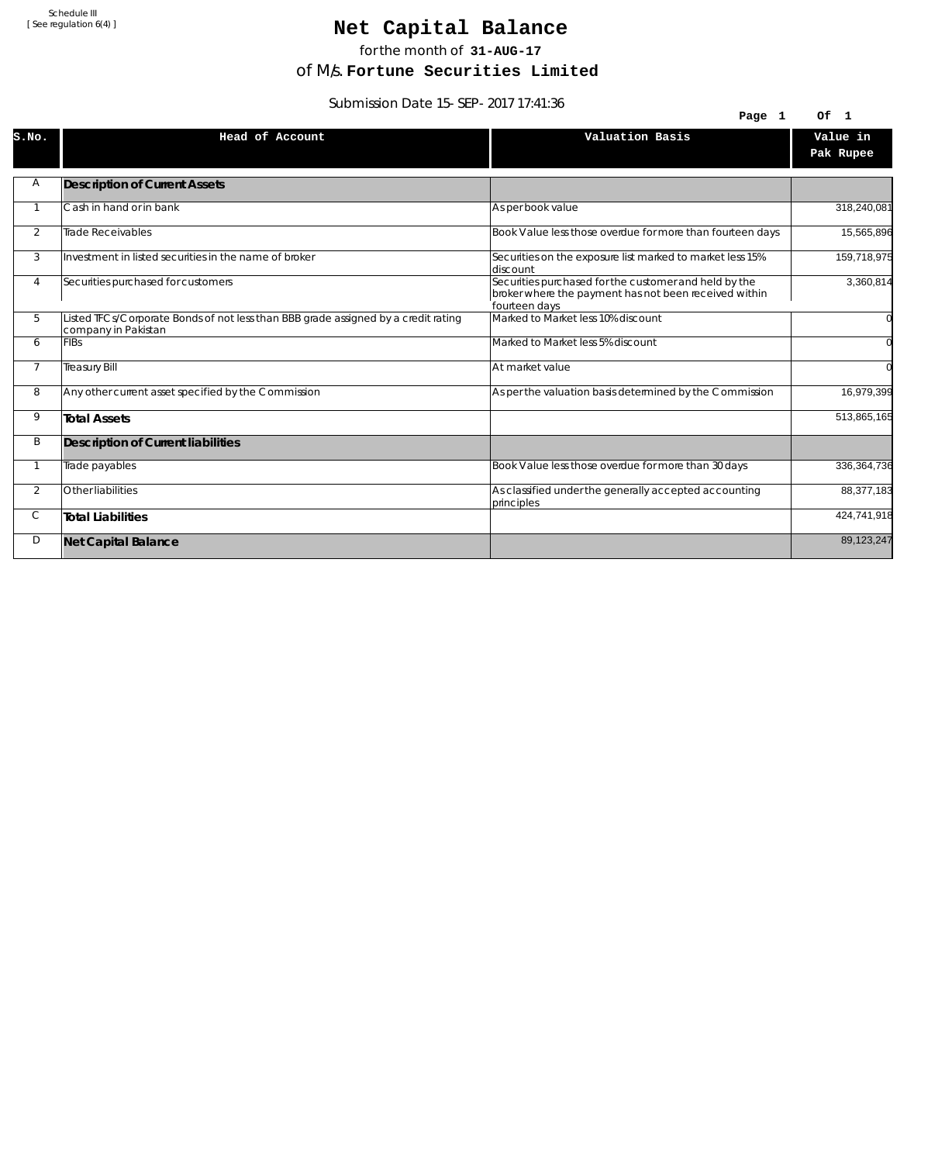# Net Capital Balance

for the month of **31-AUG-17**

of M/s. **Fortune Securities Limited**

Submission Date 15-SEP-2017 17:41:36

| <u>JUDITIISJUITDALE 19-JLF-ZVITTIJ.41.J0</u> |                                                                                                           |                                                                                                                                 |                       |  |
|----------------------------------------------|-----------------------------------------------------------------------------------------------------------|---------------------------------------------------------------------------------------------------------------------------------|-----------------------|--|
|                                              |                                                                                                           | Page 1                                                                                                                          | Of 1                  |  |
| S.NO.                                        | Head of Account                                                                                           | Valuation Basis                                                                                                                 | Value in<br>Pak Rupee |  |
| Α                                            | <b>Description of Current Assets</b>                                                                      |                                                                                                                                 |                       |  |
|                                              | Cash in hand or in bank                                                                                   | As per book value                                                                                                               | 318,240,081           |  |
| 2                                            | <b>Trade Receivables</b>                                                                                  | Book Value less those overdue for more than fourteen days                                                                       | 15,565,896            |  |
| 3                                            | Investment in listed securities in the name of broker                                                     | Securities on the exposure list marked to market less 15%<br>discount                                                           | 159,718,975           |  |
| 4                                            | Securities purchased for customers                                                                        | Securities purchased for the customer and held by the<br>broker where the payment has not been received within<br>fourteen days | 3,360,814             |  |
| 5                                            | Listed TFCs/Corporate Bonds of not less than BBB grade assigned by a credit rating<br>company in Pakistan | Marked to Market less 10% discount                                                                                              |                       |  |
| 6                                            | <b>FIBs</b>                                                                                               | Marked to Market less 5% discount                                                                                               |                       |  |
| $\overline{7}$                               | <b>Treasury Bill</b>                                                                                      | At market value                                                                                                                 |                       |  |
| 8                                            | Any other current asset specified by the Commission                                                       | As per the valuation basis determined by the Commission                                                                         | 16,979,399            |  |
| 9                                            | <b>Total Assets</b>                                                                                       |                                                                                                                                 | 513,865,165           |  |
| B                                            | Description of Current liabilities                                                                        |                                                                                                                                 |                       |  |
|                                              | Trade payables                                                                                            | Book Value less those overdue for more than 30 days                                                                             | 336, 364, 736         |  |
| 2                                            | Other liabilities                                                                                         | As classified under the generally accepted accounting<br>principles                                                             | 88,377,183            |  |
| С                                            | <b>Total Liabilities</b>                                                                                  |                                                                                                                                 | 424,741,918           |  |
| D                                            | <b>Net Capital Balance</b>                                                                                |                                                                                                                                 | 89,123,247            |  |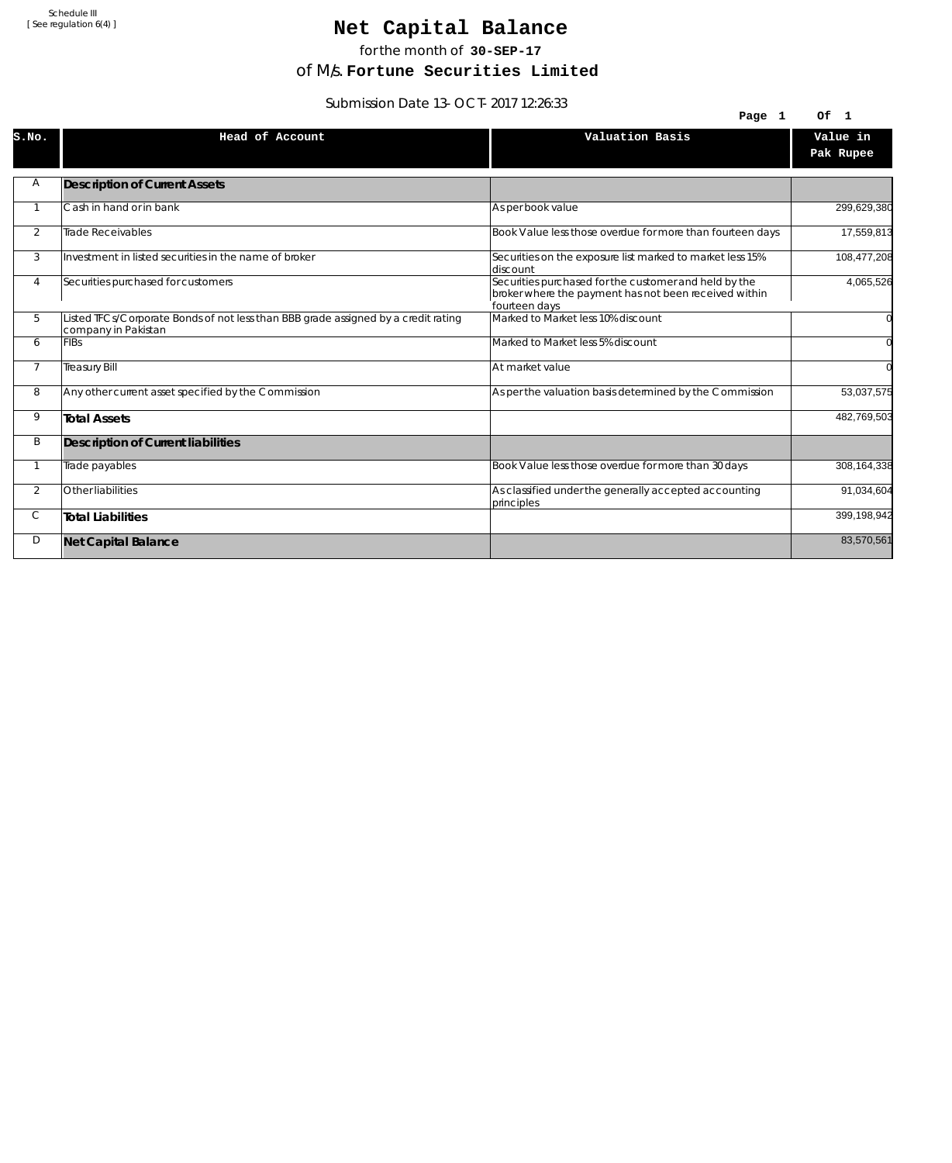# Net Capital Balance

for the month of **30-SEP-17**

of M/s. **Fortune Securities Limited**

Submission Date 13-OCT-2017 12:26:33

| 3991111331011 Date 13-001-2017 12.20.33 |                                                                                                           |                                                                                                                                 |                       |
|-----------------------------------------|-----------------------------------------------------------------------------------------------------------|---------------------------------------------------------------------------------------------------------------------------------|-----------------------|
|                                         |                                                                                                           | Page 1                                                                                                                          | Of 1                  |
| S.NO.                                   | Head of Account                                                                                           | Valuation Basis                                                                                                                 | Value in<br>Pak Rupee |
| Α                                       | <b>Description of Current Assets</b>                                                                      |                                                                                                                                 |                       |
|                                         | Cash in hand or in bank                                                                                   | As per book value                                                                                                               | 299,629,380           |
| 2                                       | Trade Receivables                                                                                         | Book Value less those overdue for more than fourteen days                                                                       | 17,559,813            |
| 3                                       | Investment in listed securities in the name of broker                                                     | Securities on the exposure list marked to market less 15%<br>discount                                                           | 108,477,208           |
| 4                                       | Securities purchased for customers                                                                        | Securities purchased for the customer and held by the<br>broker where the payment has not been received within<br>fourteen days | 4,065,526             |
| 5                                       | Listed TFCs/Corporate Bonds of not less than BBB grade assigned by a credit rating<br>company in Pakistan | Marked to Market less 10% discount                                                                                              |                       |
| 6                                       | <b>FIBs</b>                                                                                               | Marked to Market less 5% discount                                                                                               |                       |
| $\overline{7}$                          | <b>Treasury Bill</b>                                                                                      | At market value                                                                                                                 | $\Omega$              |
| 8                                       | Any other current asset specified by the Commission                                                       | As per the valuation basis determined by the Commission                                                                         | 53,037,575            |
| 9                                       | <b>Total Assets</b>                                                                                       |                                                                                                                                 | 482,769,503           |
| B                                       | Description of Current liabilities                                                                        |                                                                                                                                 |                       |
|                                         | Trade payables                                                                                            | Book Value less those overdue for more than 30 days                                                                             | 308,164,338           |
| $\overline{2}$                          | Other liabilities                                                                                         | As classified under the generally accepted accounting<br>principles                                                             | 91,034,604            |
| С                                       | <b>Total Liabilities</b>                                                                                  |                                                                                                                                 | 399,198,942           |
| D                                       | <b>Net Capital Balance</b>                                                                                |                                                                                                                                 | 83,570,561            |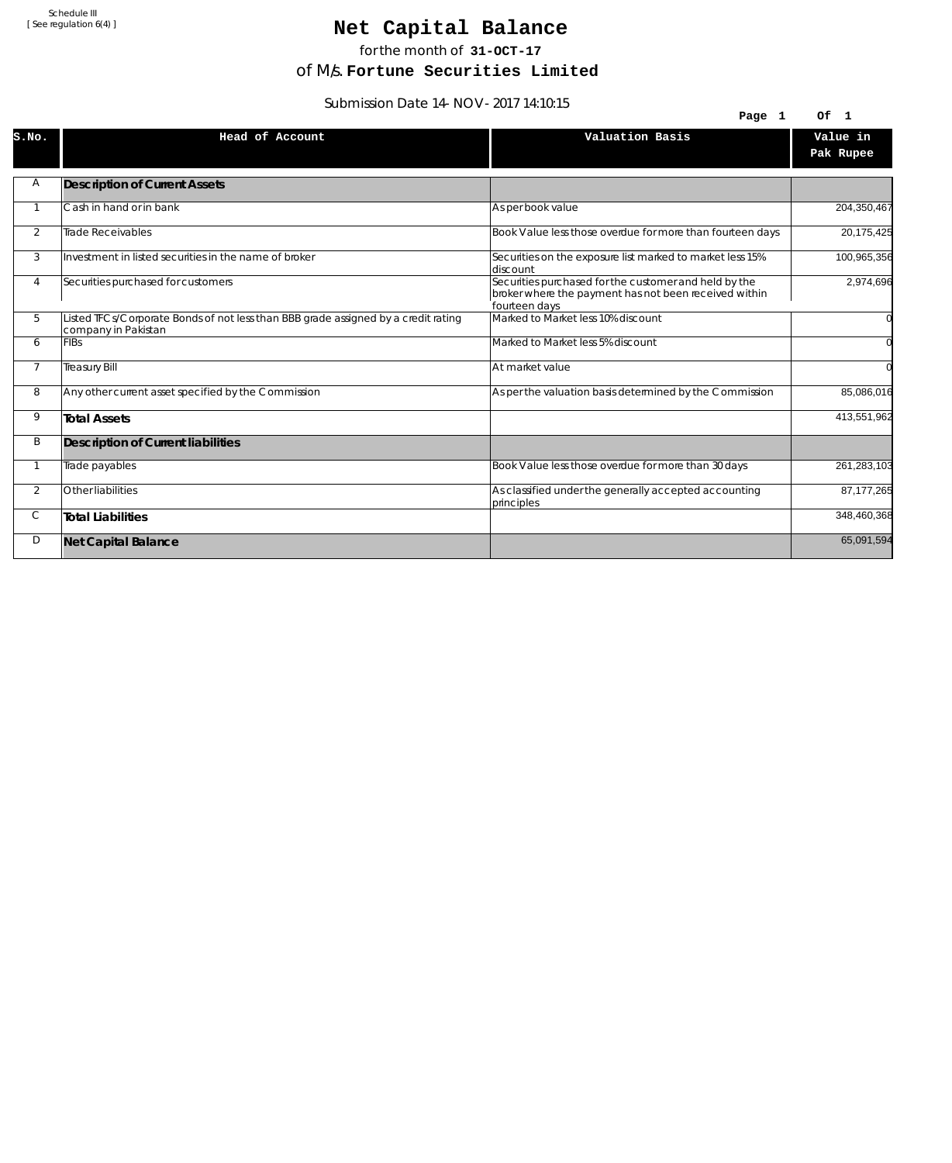# Net Capital Balance

for the month of **31-OCT-17**

of M/s. **Fortune Securities Limited**

Submission Date 14-NOV-2017 14:10:15

|                | $30011133101112410117 - 19017117$                                                                         | Page 1                                                                                                                          | Of 1                  |
|----------------|-----------------------------------------------------------------------------------------------------------|---------------------------------------------------------------------------------------------------------------------------------|-----------------------|
| S.NO.          | Head of Account                                                                                           | Valuation Basis                                                                                                                 | Value in<br>Pak Rupee |
| Α              | <b>Description of Current Assets</b>                                                                      |                                                                                                                                 |                       |
|                | Cash in hand or in bank                                                                                   | As per book value                                                                                                               | 204,350,467           |
| $\overline{2}$ | <b>Trade Receivables</b>                                                                                  | Book Value less those overdue for more than fourteen days                                                                       | 20,175,425            |
| 3              | Investment in listed securities in the name of broker                                                     | Securities on the exposure list marked to market less 15%<br>discount                                                           | 100,965,356           |
| 4              | Securities purchased for customers                                                                        | Securities purchased for the customer and held by the<br>broker where the payment has not been received within<br>fourteen days | 2,974,696             |
| 5              | Listed TFCs/Corporate Bonds of not less than BBB grade assigned by a credit rating<br>company in Pakistan | Marked to Market less 10% discount                                                                                              |                       |
| 6              | <b>FIBs</b>                                                                                               | Marked to Market less 5% discount                                                                                               |                       |
| $\overline{7}$ | <b>Treasury Bill</b>                                                                                      | At market value                                                                                                                 |                       |
| 8              | Any other current asset specified by the Commission                                                       | As per the valuation basis determined by the Commission                                                                         | 85,086,016            |
| 9              | <b>Total Assets</b>                                                                                       |                                                                                                                                 | 413,551,962           |
| B              | Description of Current liabilities                                                                        |                                                                                                                                 |                       |
|                | Trade payables                                                                                            | Book Value less those overdue for more than 30 days                                                                             | 261,283,103           |
| $\overline{2}$ | Other liabilities                                                                                         | As classified under the generally accepted accounting<br>principles                                                             | 87, 177, 265          |
| С              | <b>Total Liabilities</b>                                                                                  |                                                                                                                                 | 348,460,368           |
| D              | <b>Net Capital Balance</b>                                                                                |                                                                                                                                 | 65,091,594            |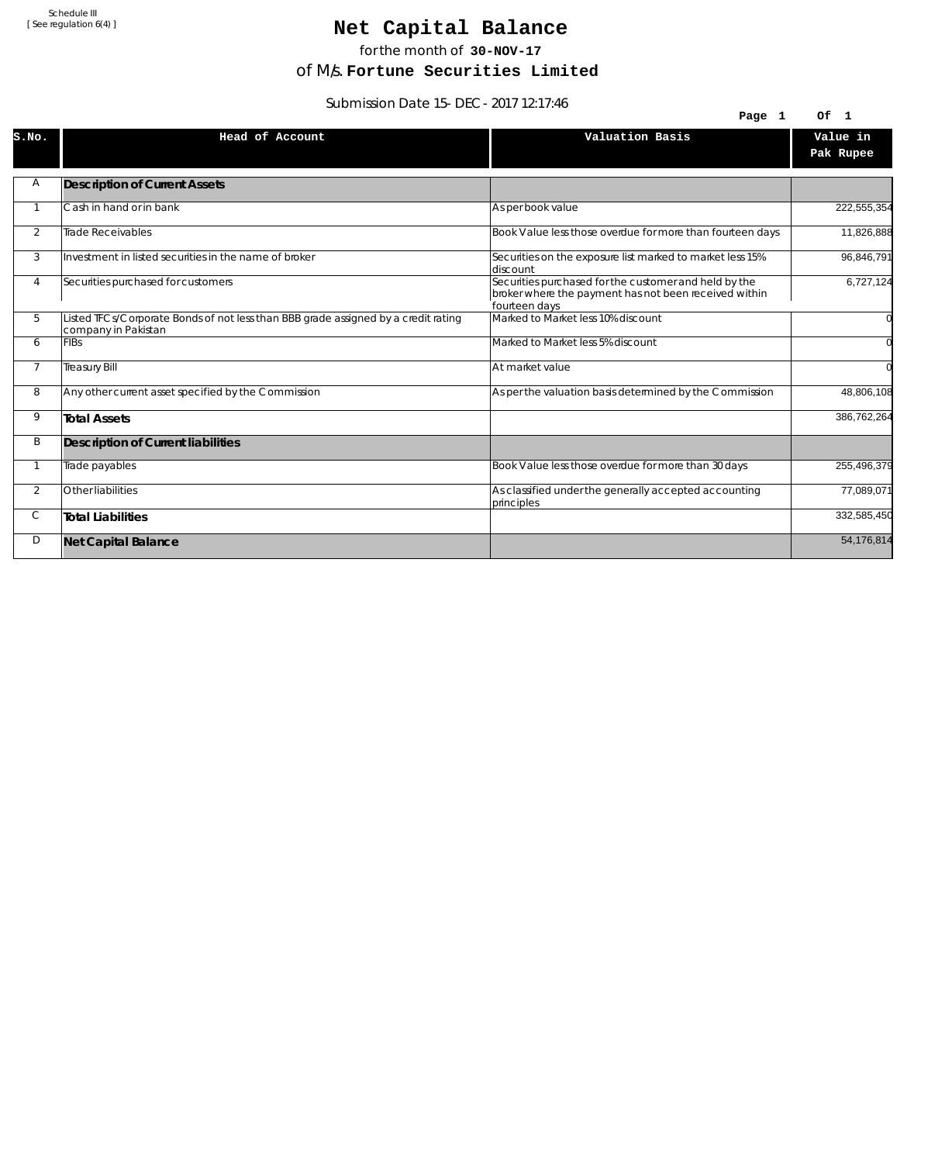# Net Capital Balance

for the month of **30-NOV-17**

of M/s. **Fortune Securities Limited**

Submission Date 15-DEC-2017 12:17:46

| 3901111331011 Date 13-DLC-2017 12.17.40 |                                                                                                           |                                                                                                                                 |                      |  |
|-----------------------------------------|-----------------------------------------------------------------------------------------------------------|---------------------------------------------------------------------------------------------------------------------------------|----------------------|--|
|                                         |                                                                                                           | Page 1                                                                                                                          | Of<br>$\blacksquare$ |  |
| S.NO.                                   | Head of Account                                                                                           | Valuation Basis                                                                                                                 | Value in             |  |
|                                         |                                                                                                           |                                                                                                                                 | Pak Rupee            |  |
| Α                                       | <b>Description of Current Assets</b>                                                                      |                                                                                                                                 |                      |  |
|                                         | Cash in hand or in bank                                                                                   | As per book value                                                                                                               | 222,555,354          |  |
| 2                                       | Trade Receivables                                                                                         | Book Value less those overdue for more than fourteen days                                                                       | 11,826,888           |  |
| 3                                       | Investment in listed securities in the name of broker                                                     | Securities on the exposure list marked to market less 15%<br>ldiscount                                                          | 96,846,791           |  |
| $\overline{4}$                          | Securities purchased for customers                                                                        | Securities purchased for the customer and held by the<br>broker where the payment has not been received within<br>fourteen days | 6,727,124            |  |
| 5                                       | Listed TFCs/Corporate Bonds of not less than BBB grade assigned by a credit rating<br>company in Pakistan | Marked to Market less 10% discount                                                                                              |                      |  |
| 6                                       | <b>FIBs</b>                                                                                               | Marked to Market less 5% discount                                                                                               |                      |  |
| $\overline{7}$                          | <b>Treasury Bill</b>                                                                                      | At market value                                                                                                                 |                      |  |
| 8                                       | Any other current asset specified by the Commission                                                       | As per the valuation basis determined by the Commission                                                                         | 48,806,108           |  |
| 9                                       | <b>Total Assets</b>                                                                                       |                                                                                                                                 | 386,762,264          |  |
| B                                       | Description of Current liabilities                                                                        |                                                                                                                                 |                      |  |
|                                         | Trade payables                                                                                            | Book Value less those overdue for more than 30 days                                                                             | 255,496,379          |  |
| $\overline{2}$                          | Other liabilities                                                                                         | As classified under the generally accepted accounting<br>principles                                                             | 77,089,071           |  |
| С                                       | <b>Total Liabilities</b>                                                                                  |                                                                                                                                 | 332,585,450          |  |
| D                                       | <b>Net Capital Balance</b>                                                                                |                                                                                                                                 | 54,176,814           |  |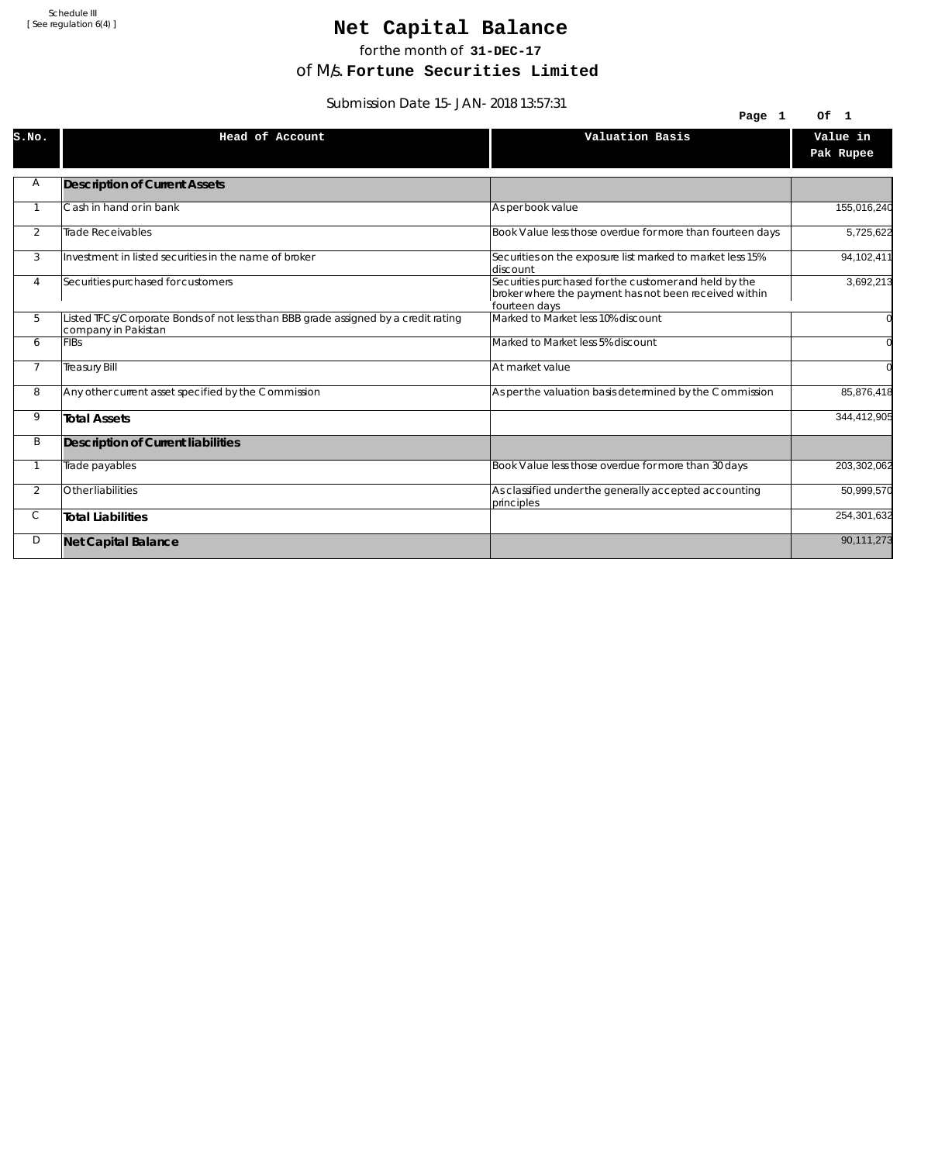# Net Capital Balance

for the month of **31-DEC-17**

of M/s. **Fortune Securities Limited**

Submission Date 15-JAN-2018 13:57:31

| $300111331011$ Date 19-JAN-2010 13.97.31 |                                                                                                           |                                                                                                                                 |                       |
|------------------------------------------|-----------------------------------------------------------------------------------------------------------|---------------------------------------------------------------------------------------------------------------------------------|-----------------------|
|                                          |                                                                                                           | Page 1                                                                                                                          | Of 1                  |
| S.NO.                                    | Head of Account                                                                                           | Valuation Basis                                                                                                                 | Value in<br>Pak Rupee |
| Α                                        | <b>Description of Current Assets</b>                                                                      |                                                                                                                                 |                       |
|                                          | Cash in hand or in bank                                                                                   | As per book value                                                                                                               | 155,016,240           |
| 2                                        | Trade Receivables                                                                                         | Book Value less those overdue for more than fourteen days                                                                       | 5,725,622             |
| 3                                        | Investment in listed securities in the name of broker                                                     | Securities on the exposure list marked to market less 15%<br>discount                                                           | 94,102,411            |
| 4                                        | Securities purchased for customers                                                                        | Securities purchased for the customer and held by the<br>broker where the payment has not been received within<br>fourteen days | 3,692,213             |
| 5                                        | Listed TFCs/Corporate Bonds of not less than BBB grade assigned by a credit rating<br>company in Pakistan | Marked to Market less 10% discount                                                                                              |                       |
| 6                                        | <b>FIBs</b>                                                                                               | Marked to Market less 5% discount                                                                                               |                       |
| $\overline{7}$                           | <b>Treasury Bill</b>                                                                                      | At market value                                                                                                                 | $\Omega$              |
| 8                                        | Any other current asset specified by the Commission                                                       | As per the valuation basis determined by the Commission                                                                         | 85,876,418            |
| 9                                        | <b>Total Assets</b>                                                                                       |                                                                                                                                 | 344,412,905           |
| B                                        | Description of Current liabilities                                                                        |                                                                                                                                 |                       |
|                                          | Trade payables                                                                                            | Book Value less those overdue for more than 30 days                                                                             | 203,302,062           |
| $\overline{2}$                           | Other liabilities                                                                                         | As classified under the generally accepted accounting<br>principles                                                             | 50,999,570            |
| С                                        | <b>Total Liabilities</b>                                                                                  |                                                                                                                                 | 254,301,632           |
| D                                        | <b>Net Capital Balance</b>                                                                                |                                                                                                                                 | 90,111,273            |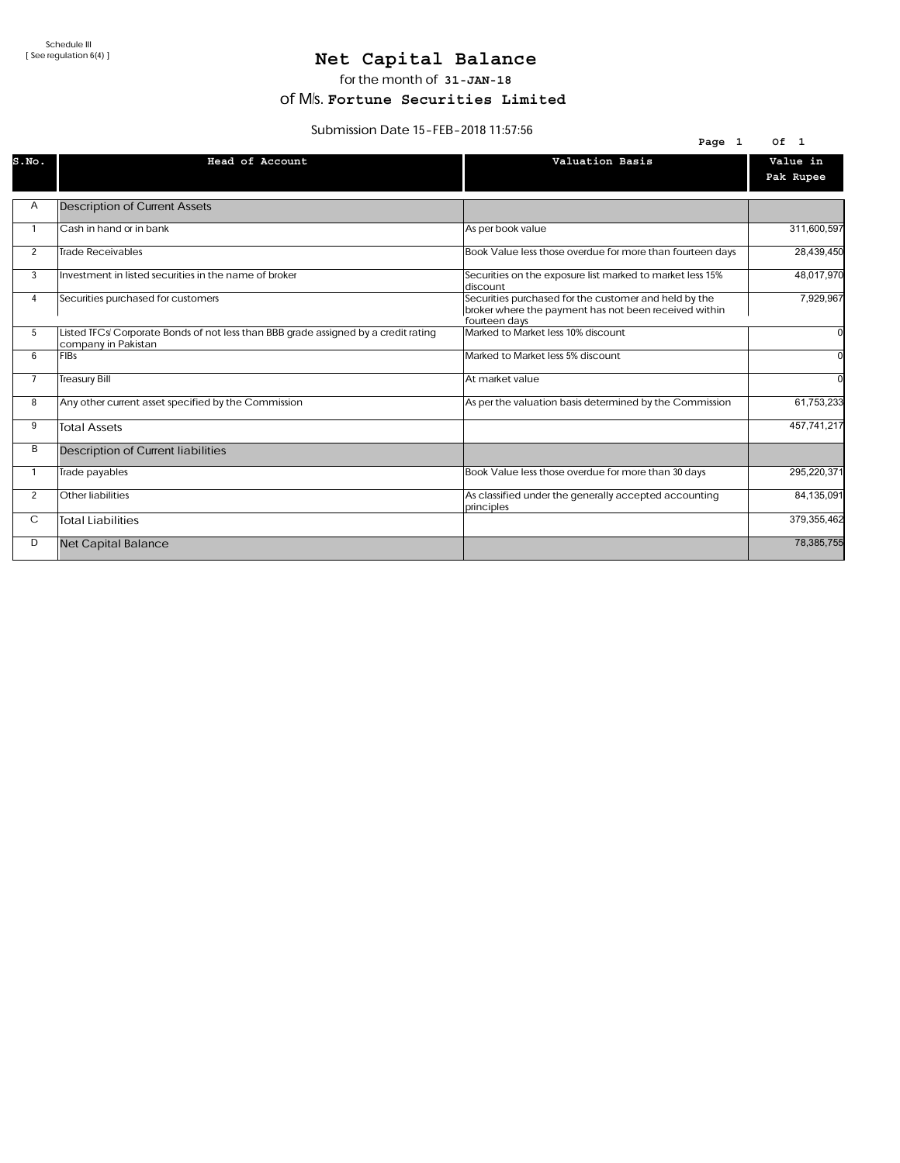### Net Capital Balance

for the month of 31-JAN-18

of M/s. Fortune Securities Limited

#### Submission Date 15-FEB-2018 11:57:56

|                | $300111331011$ Date $13 - 1$ LD-2010 $11.31.30$                                                           | Page 1                                                                                                                          | 0f <sub>1</sub>       |
|----------------|-----------------------------------------------------------------------------------------------------------|---------------------------------------------------------------------------------------------------------------------------------|-----------------------|
| S.NO.          | Head of Account                                                                                           | Valuation Basis                                                                                                                 | Value in<br>Pak Rupee |
| Α              | <b>Description of Current Assets</b>                                                                      |                                                                                                                                 |                       |
|                | Cash in hand or in bank                                                                                   | As per book value                                                                                                               | 311,600,597           |
| 2              | <b>Trade Receivables</b>                                                                                  | Book Value less those overdue for more than fourteen days                                                                       | 28,439,450            |
| 3              | Investment in listed securities in the name of broker                                                     | Securities on the exposure list marked to market less 15%<br>discount                                                           | 48,017,970            |
| 4              | Securities purchased for customers                                                                        | Securities purchased for the customer and held by the<br>broker where the payment has not been received within<br>fourteen days | 7,929,967             |
| 5              | Listed TFCs/Corporate Bonds of not less than BBB grade assigned by a credit rating<br>company in Pakistan | Marked to Market less 10% discount                                                                                              |                       |
| 6              | FIBs                                                                                                      | Marked to Market less 5% discount                                                                                               |                       |
| $\overline{7}$ | <b>Treasury Bill</b>                                                                                      | At market value                                                                                                                 |                       |
| 8              | Any other current asset specified by the Commission                                                       | As per the valuation basis determined by the Commission                                                                         | 61,753,233            |
| 9              | <b>Total Assets</b>                                                                                       |                                                                                                                                 | 457,741,217           |
| B              | <b>Description of Current liabilities</b>                                                                 |                                                                                                                                 |                       |
|                | Trade payables                                                                                            | Book Value less those overdue for more than 30 days                                                                             | 295,220,371           |
| 2              | Other liabilities                                                                                         | As classified under the generally accepted accounting<br>principles                                                             | 84,135,091            |
| С              | <b>Total Liabilities</b>                                                                                  |                                                                                                                                 | 379,355,462           |
| D              | Net Capital Balance                                                                                       |                                                                                                                                 | 78,385,755            |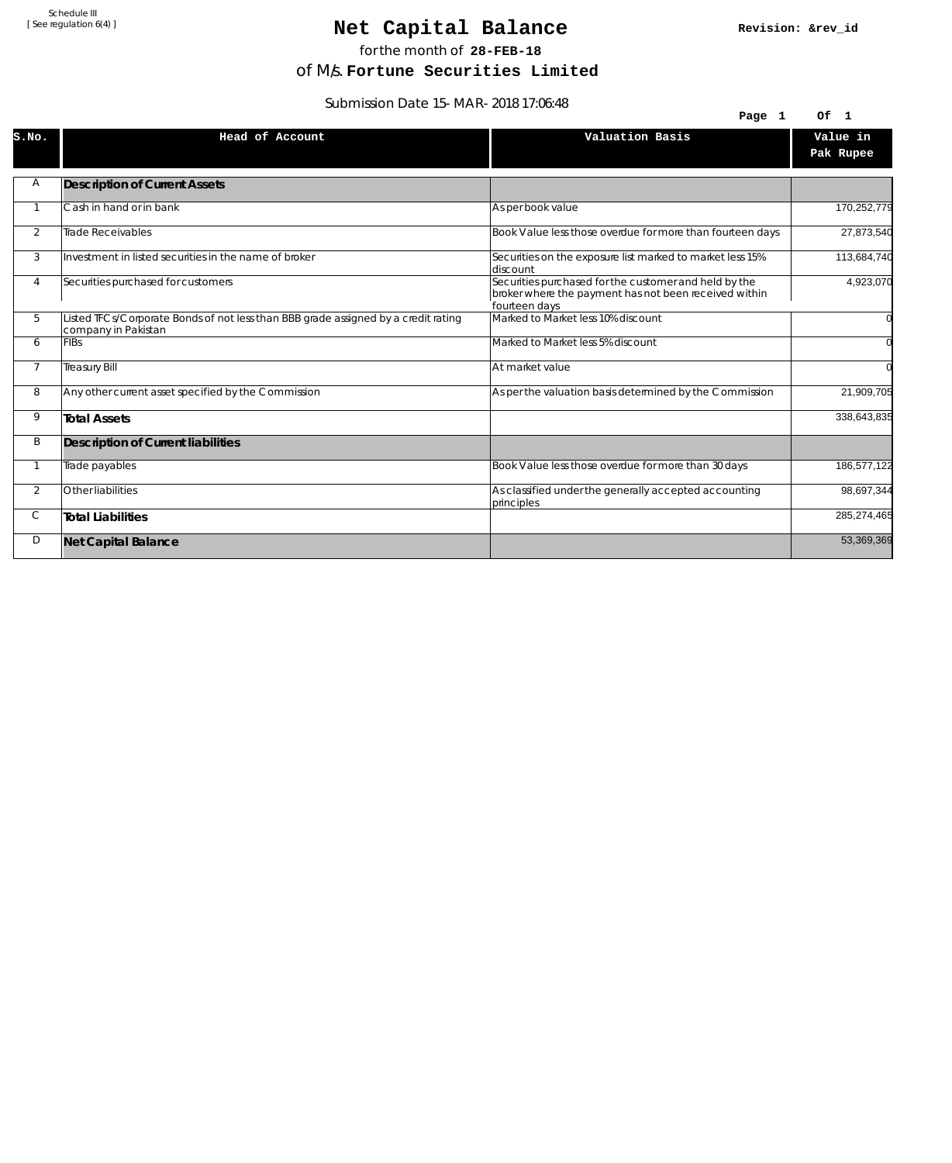### Net Capital Balance

for the month of **28-FEB-18**

of M/s. **Fortune Securities Limited**

Submission Date 15-MAR-2018 17:06:48

| $3001111331011$ Date $13-101A1-2010$ 17.00.40 |                                                                                                           |                                                                                                                                 |                |
|-----------------------------------------------|-----------------------------------------------------------------------------------------------------------|---------------------------------------------------------------------------------------------------------------------------------|----------------|
|                                               |                                                                                                           | Page 1                                                                                                                          | Of 1           |
| S.NO.                                         | Head of Account                                                                                           | Valuation Basis                                                                                                                 | Value in       |
|                                               |                                                                                                           |                                                                                                                                 | Pak Rupee      |
|                                               |                                                                                                           |                                                                                                                                 |                |
| Α                                             | <b>Description of Current Assets</b>                                                                      |                                                                                                                                 |                |
|                                               | Cash in hand or in bank                                                                                   | As per book value                                                                                                               | 170,252,779    |
| 2                                             | <b>Trade Receivables</b>                                                                                  | Book Value less those overdue for more than fourteen days                                                                       | 27,873,540     |
| 3                                             | Investment in listed securities in the name of broker                                                     | Securities on the exposure list marked to market less 15%<br>discount                                                           | 113,684,740    |
| 4                                             | Securities purchased for customers                                                                        | Securities purchased for the customer and held by the<br>broker where the payment has not been received within<br>fourteen days | 4,923,070      |
| 5                                             | Listed TFCs/Corporate Bonds of not less than BBB grade assigned by a credit rating<br>company in Pakistan | Marked to Market less 10% discount                                                                                              | $\overline{0}$ |
| 6                                             | <b>FIBs</b>                                                                                               | Marked to Market less 5% discount                                                                                               | $\overline{0}$ |
| $\overline{7}$                                | <b>Treasury Bill</b>                                                                                      | At market value                                                                                                                 | $\Omega$       |
| 8                                             | Any other current asset specified by the Commission                                                       | As per the valuation basis determined by the Commission                                                                         | 21,909,705     |
| 9                                             | <b>Total Assets</b>                                                                                       |                                                                                                                                 | 338,643,835    |
| B                                             | Description of Current liabilities                                                                        |                                                                                                                                 |                |
|                                               | Trade payables                                                                                            | Book Value less those overdue for more than 30 days                                                                             | 186,577,122    |
| $\overline{2}$                                | Other liabilities                                                                                         | As classified under the generally accepted accounting<br>principles                                                             | 98,697,344     |
| С                                             | <b>Total Liabilities</b>                                                                                  |                                                                                                                                 | 285,274,465    |
| D                                             | <b>Net Capital Balance</b>                                                                                |                                                                                                                                 | 53,369,369     |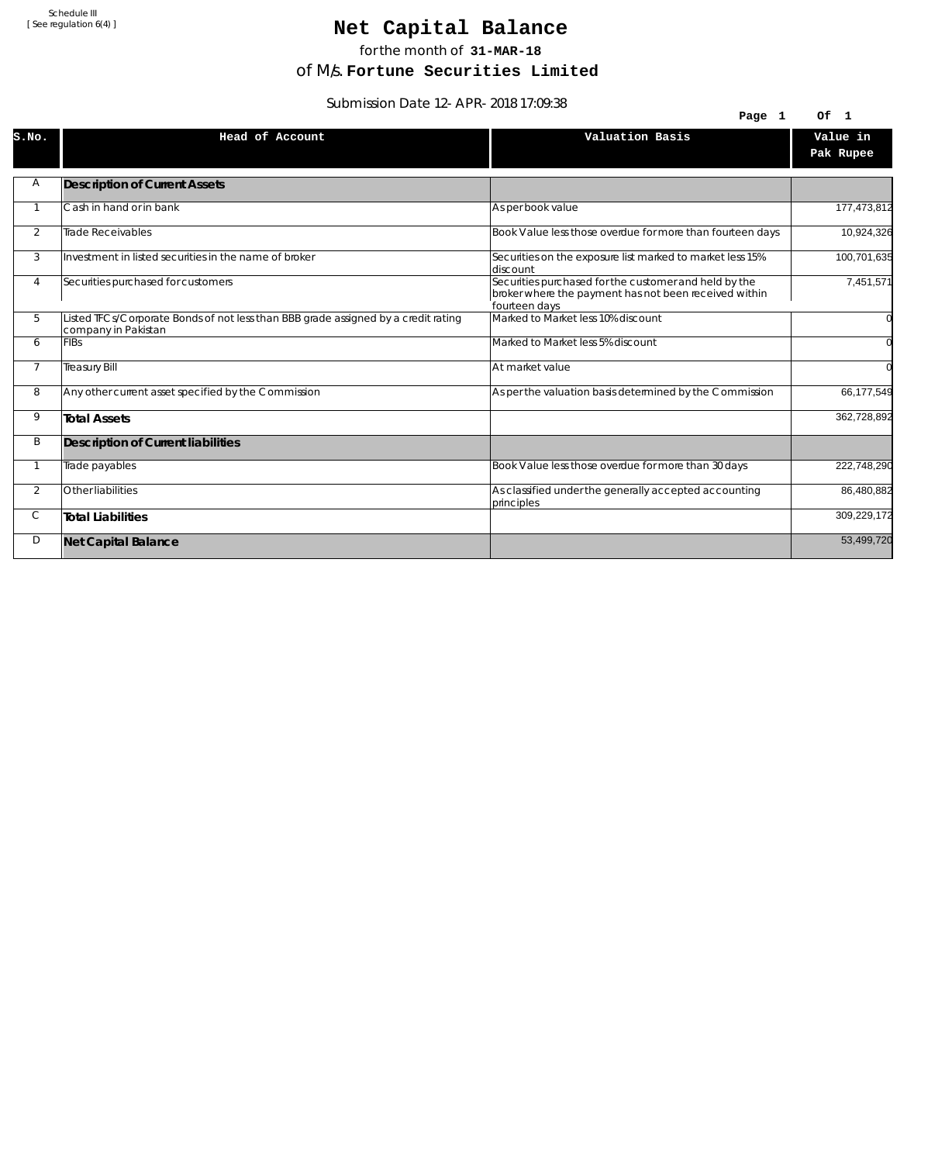# Net Capital Balance

for the month of **31-MAR-18**

of M/s. **Fortune Securities Limited**

Submission Date 12-APR-2018 17:09:38

| $3001111331011$ Date TZ-AFR-2010 17.09.30 |                                                                                                           |                                                                                                                                 |                       |
|-------------------------------------------|-----------------------------------------------------------------------------------------------------------|---------------------------------------------------------------------------------------------------------------------------------|-----------------------|
|                                           |                                                                                                           | Page 1                                                                                                                          | Of 1                  |
| S.NO.                                     | Head of Account                                                                                           | Valuation Basis                                                                                                                 | Value in<br>Pak Rupee |
| Α                                         | <b>Description of Current Assets</b>                                                                      |                                                                                                                                 |                       |
|                                           | Cash in hand or in bank                                                                                   | As per book value                                                                                                               | 177,473,812           |
| 2                                         | Trade Receivables                                                                                         | Book Value less those overdue for more than fourteen days                                                                       | 10,924,326            |
| 3                                         | Investment in listed securities in the name of broker                                                     | Securities on the exposure list marked to market less 15%<br>discount                                                           | 100,701,635           |
| 4                                         | Securities purchased for customers                                                                        | Securities purchased for the customer and held by the<br>broker where the payment has not been received within<br>fourteen days | 7,451,571             |
| 5                                         | Listed TFCs/Corporate Bonds of not less than BBB grade assigned by a credit rating<br>company in Pakistan | Marked to Market less 10% discount                                                                                              |                       |
| 6                                         | <b>FIBs</b>                                                                                               | Marked to Market less 5% discount                                                                                               |                       |
| $\overline{7}$                            | <b>Treasury Bill</b>                                                                                      | At market value                                                                                                                 | $\Omega$              |
| 8                                         | Any other current asset specified by the Commission                                                       | As per the valuation basis determined by the Commission                                                                         | 66,177,549            |
| 9                                         | <b>Total Assets</b>                                                                                       |                                                                                                                                 | 362,728,892           |
| B                                         | Description of Current liabilities                                                                        |                                                                                                                                 |                       |
|                                           | Trade payables                                                                                            | Book Value less those overdue for more than 30 days                                                                             | 222,748,290           |
| $\overline{2}$                            | Other liabilities                                                                                         | As classified under the generally accepted accounting<br>principles                                                             | 86,480,882            |
| С                                         | <b>Total Liabilities</b>                                                                                  |                                                                                                                                 | 309,229,172           |
| D                                         | <b>Net Capital Balance</b>                                                                                |                                                                                                                                 | 53,499,720            |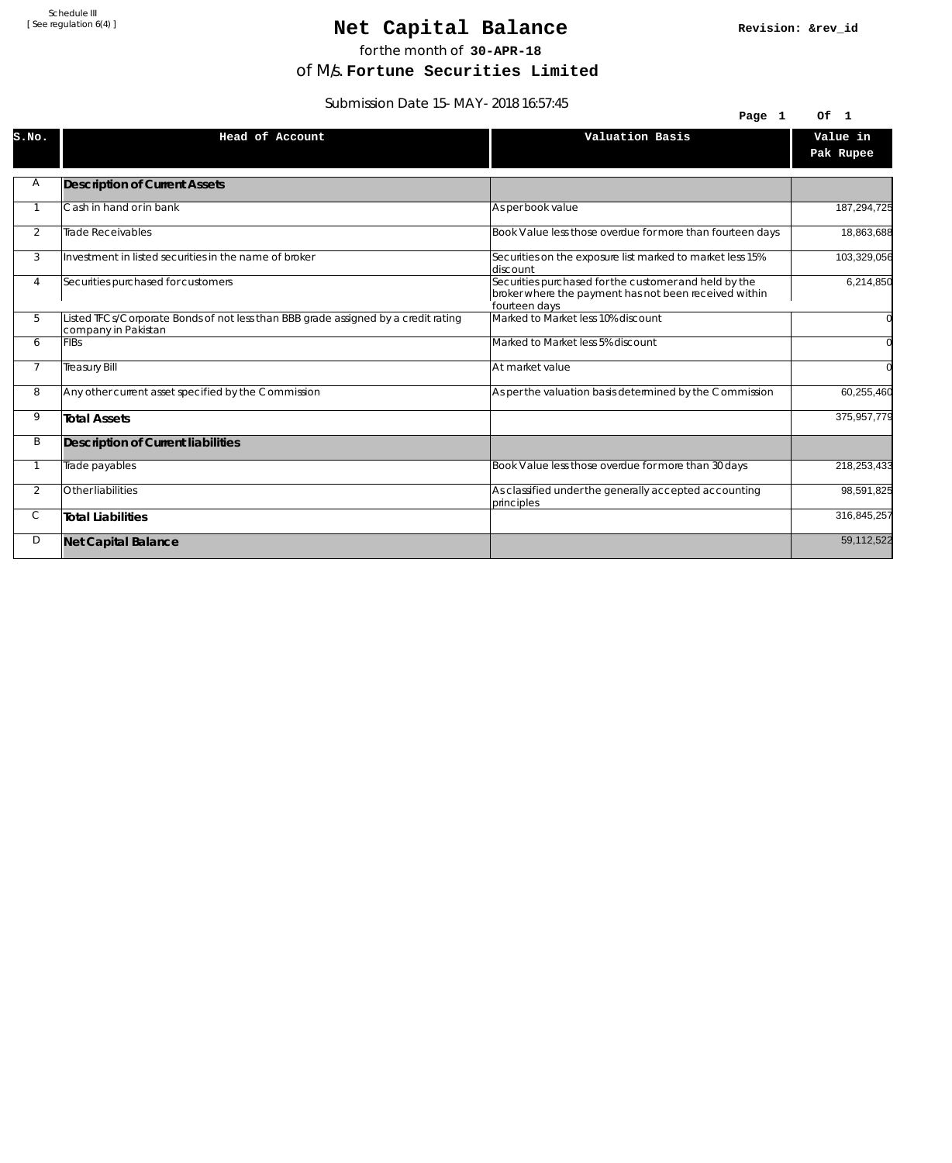### Net Capital Balance

for the month of **30-APR-18**

of M/s. **Fortune Securities Limited**

Submission Date 15-MAY-2018 16:57:45

| $300111331011$ Date 13-MA 1-2010 10.37.43 |                                                                                                           |                                                                                                                                 |                |
|-------------------------------------------|-----------------------------------------------------------------------------------------------------------|---------------------------------------------------------------------------------------------------------------------------------|----------------|
|                                           |                                                                                                           | Page 1                                                                                                                          | Of 1           |
| S.NO.                                     | Head of Account                                                                                           | Valuation Basis                                                                                                                 | Value in       |
|                                           |                                                                                                           |                                                                                                                                 | Pak Rupee      |
| Α                                         | <b>Description of Current Assets</b>                                                                      |                                                                                                                                 |                |
|                                           |                                                                                                           |                                                                                                                                 |                |
|                                           | Cash in hand or in bank                                                                                   | As per book value                                                                                                               | 187,294,725    |
| 2                                         | <b>Trade Receivables</b>                                                                                  | Book Value less those overdue for more than fourteen days                                                                       | 18,863,688     |
| 3                                         | Investment in listed securities in the name of broker                                                     | Securities on the exposure list marked to market less 15%<br>discount                                                           | 103,329,056    |
| 4                                         | Securities purchased for customers                                                                        | Securities purchased for the customer and held by the<br>broker where the payment has not been received within<br>fourteen days | 6,214,850      |
| 5                                         | Listed TFCs/Corporate Bonds of not less than BBB grade assigned by a credit rating<br>company in Pakistan | Marked to Market less 10% discount                                                                                              | $\overline{0}$ |
| 6                                         | <b>FIBs</b>                                                                                               | Marked to Market less 5% discount                                                                                               | $\overline{0}$ |
| $\overline{7}$                            | <b>Treasury Bill</b>                                                                                      | At market value                                                                                                                 | $\Omega$       |
| 8                                         | Any other current asset specified by the Commission                                                       | As per the valuation basis determined by the Commission                                                                         | 60,255,460     |
| 9                                         | <b>Total Assets</b>                                                                                       |                                                                                                                                 | 375,957,779    |
| B                                         | Description of Current liabilities                                                                        |                                                                                                                                 |                |
|                                           | Trade payables                                                                                            | Book Value less those overdue for more than 30 days                                                                             | 218,253,433    |
| $\overline{2}$                            | Other liabilities                                                                                         | As classified under the generally accepted accounting<br>principles                                                             | 98,591,825     |
| С                                         | <b>Total Liabilities</b>                                                                                  |                                                                                                                                 | 316,845,257    |
| D                                         | <b>Net Capital Balance</b>                                                                                |                                                                                                                                 | 59,112,522     |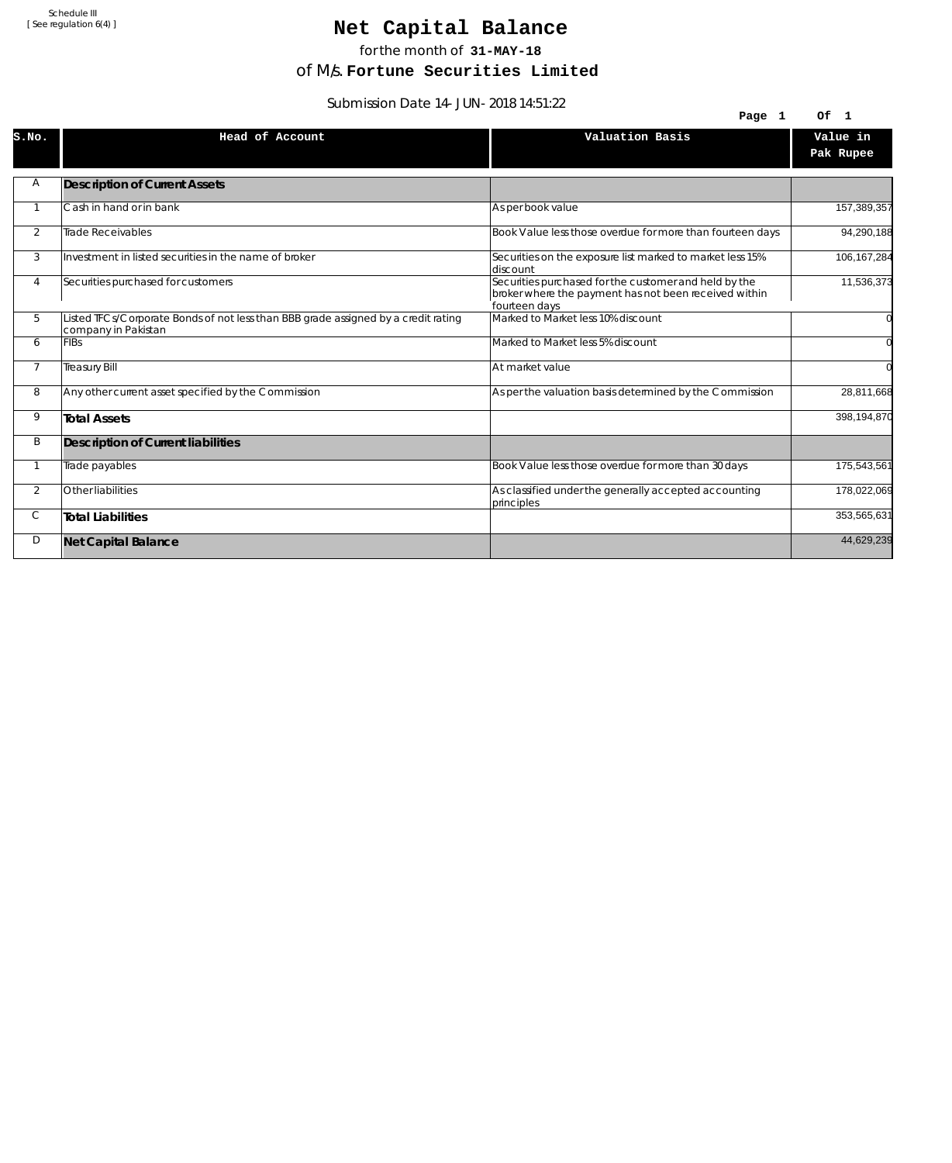# Net Capital Balance

for the month of **31-MAY-18**

of M/s. **Fortune Securities Limited**

Submission Date 14-JUN-2018 14:51:22

| 39.TC.PT 0102-2010 Date: PHOLOGIE |                                                                                                           |                                                                                                                                 |                       |
|-----------------------------------|-----------------------------------------------------------------------------------------------------------|---------------------------------------------------------------------------------------------------------------------------------|-----------------------|
|                                   |                                                                                                           | Page 1                                                                                                                          | Of 1                  |
| S.NO.                             | Head of Account                                                                                           | Valuation Basis                                                                                                                 | Value in<br>Pak Rupee |
| Α                                 | <b>Description of Current Assets</b>                                                                      |                                                                                                                                 |                       |
|                                   | Cash in hand or in bank                                                                                   | As per book value                                                                                                               | 157,389,357           |
| $\overline{2}$                    | Trade Receivables                                                                                         | Book Value less those overdue for more than fourteen days                                                                       | 94,290,188            |
| 3                                 | Investment in listed securities in the name of broker                                                     | Securities on the exposure list marked to market less 15%<br>discount                                                           | 106,167,284           |
| 4                                 | Securities purchased for customers                                                                        | Securities purchased for the customer and held by the<br>broker where the payment has not been received within<br>fourteen days | 11,536,373            |
| 5                                 | Listed TFCs/Corporate Bonds of not less than BBB grade assigned by a credit rating<br>company in Pakistan | Marked to Market less 10% discount                                                                                              |                       |
| 6                                 | <b>FIBs</b>                                                                                               | Marked to Market less 5% discount                                                                                               |                       |
| $\overline{7}$                    | <b>Treasury Bill</b>                                                                                      | At market value                                                                                                                 |                       |
| 8                                 | Any other current asset specified by the Commission                                                       | As per the valuation basis determined by the Commission                                                                         | 28,811,668            |
| 9                                 | <b>Total Assets</b>                                                                                       |                                                                                                                                 | 398,194,870           |
| B                                 | <b>Description of Current liabilities</b>                                                                 |                                                                                                                                 |                       |
|                                   | Trade payables                                                                                            | Book Value less those overdue for more than 30 days                                                                             | 175,543,561           |
| 2                                 | Other liabilities                                                                                         | As classified under the generally accepted accounting<br>principles                                                             | 178,022,069           |
| С                                 | <b>Total Liabilities</b>                                                                                  |                                                                                                                                 | 353,565,631           |
| D                                 | <b>Net Capital Balance</b>                                                                                |                                                                                                                                 | 44,629,239            |